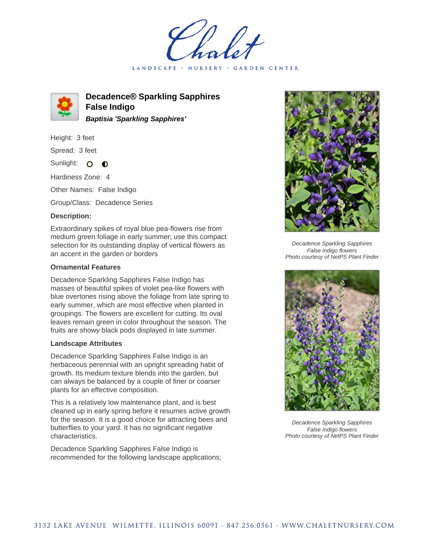LANDSCAPE · NURSERY GARDEN CENTER



**Decadence® Sparkling Sapphires False Indigo Baptisia 'Sparkling Sapphires'**

Height: 3 feet

Spread: 3 feet

Sunlight: O  $\mathbf 0$ 

Hardiness Zone: 4

Other Names: False Indigo

Group/Class: Decadence Series

## **Description:**

Extraordinary spikes of royal blue pea-flowers rise from medium green foliage in early summer; use this compact selection for its outstanding display of vertical flowers as an accent in the garden or borders

## **Ornamental Features**

Decadence Sparkling Sapphires False Indigo has masses of beautiful spikes of violet pea-like flowers with blue overtones rising above the foliage from late spring to early summer, which are most effective when planted in groupings. The flowers are excellent for cutting. Its oval leaves remain green in color throughout the season. The fruits are showy black pods displayed in late summer.

## **Landscape Attributes**

Decadence Sparkling Sapphires False Indigo is an herbaceous perennial with an upright spreading habit of growth. Its medium texture blends into the garden, but can always be balanced by a couple of finer or coarser plants for an effective composition.

This is a relatively low maintenance plant, and is best cleaned up in early spring before it resumes active growth for the season. It is a good choice for attracting bees and butterflies to your yard. It has no significant negative characteristics.

Decadence Sparkling Sapphires False Indigo is recommended for the following landscape applications;



Decadence Sparkling Sapphires False Indigo flowers Photo courtesy of NetPS Plant Finder



Decadence Sparkling Sapphires False Indigo flowers Photo courtesy of NetPS Plant Finder